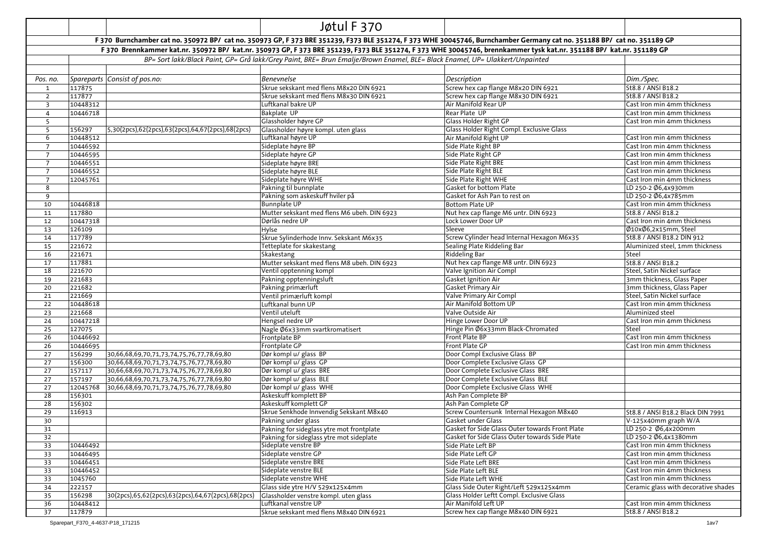|                                |                                                              | Jøtul F 370                                                                                                                  |                                                                                                                                                                         |                                      |
|--------------------------------|--------------------------------------------------------------|------------------------------------------------------------------------------------------------------------------------------|-------------------------------------------------------------------------------------------------------------------------------------------------------------------------|--------------------------------------|
|                                |                                                              |                                                                                                                              | F 370 Burnchamber cat no. 350972 BP/ cat no. 350973 GP, F 373 BRE 351239, F373 BLE 351274, F 373 WHE 30045746, Burnchamber Germany cat no. 351188 BP/ cat no. 351189 GP |                                      |
|                                |                                                              |                                                                                                                              | F 370 Brennkammer kat.nr. 350972 BP/ kat.nr. 350973 GP, F 373 BRE 351239, F373 BLE 351274, F 373 WHE 30045746, brennkammer tysk kat.nr. 351188 BP/ kat.nr. 351189 GP    |                                      |
|                                |                                                              | BP= Sort lakk/Black Paint, GP= Grå lakk/Grey Paint, BRE= Brun Emalje/Brown Enamel, BLE= Black Enamel, UP= Ulakkert/Unpainted |                                                                                                                                                                         |                                      |
|                                |                                                              |                                                                                                                              |                                                                                                                                                                         |                                      |
|                                |                                                              | <b>Benevnelse</b>                                                                                                            | Description                                                                                                                                                             |                                      |
| Pos. no.                       | Spareparts Consist of pos.no:                                | Skrue sekskant med flens M8x20 DIN 6921                                                                                      | Screw hex cap flange M8x20 DIN 6921                                                                                                                                     | Dim./Spec.<br>St8.8 / ANSI B18.2     |
| $\mathbf{1}$<br>$\overline{2}$ | 117875<br>117877                                             | Skrue sekskant med flens M8x30 DIN 6921                                                                                      | Screw hex cap flange M8x30 DIN 6921                                                                                                                                     | St8.8 / ANSI B18.2                   |
| $\overline{\mathbf{3}}$        | 10448312                                                     | Luftkanal bakre UP                                                                                                           | Air Manifold Rear UP                                                                                                                                                    | Cast Iron min 4mm thickness          |
| $\overline{4}$                 | 10446718                                                     | Bakplate UP                                                                                                                  | Rear Plate UP                                                                                                                                                           | Cast Iron min 4mm thickness          |
| 5                              |                                                              | Glassholder høyre GP                                                                                                         | <b>Glass Holder Right GP</b>                                                                                                                                            | Cast Iron min 4mm thickness          |
| 5                              | 5,30(2pcs),62(2pcs),63(2pcs),64,67(2pcs),68(2pcs)<br>156297  | Glassholder høyre kompl. uten glass                                                                                          | Glass Holder Right Compl. Exclusive Glass                                                                                                                               |                                      |
| 6                              | 10448512                                                     | Luftkanal høyre UP                                                                                                           | Air Manifold Right UP                                                                                                                                                   | Cast Iron min 4mm thickness          |
| 7                              | 10446592                                                     | Sideplate høyre BP                                                                                                           | Side Plate Right BP                                                                                                                                                     | Cast Iron min 4mm thickness          |
| $\overline{7}$                 | 10446595                                                     | Sideplate høyre GP                                                                                                           | Side Plate Right GP                                                                                                                                                     | Cast Iron min 4mm thickness          |
| $\overline{7}$                 | 10446551                                                     | Sideplate høyre BRE                                                                                                          | Side Plate Right BRE                                                                                                                                                    | Cast Iron min 4mm thickness          |
| $7\overline{ }$                | 10446552                                                     | Sideplate høyre BLE                                                                                                          | Side Plate Right BLE                                                                                                                                                    | Cast Iron min 4mm thickness          |
| $7\overline{ }$                | 12045761                                                     | Sideplate høyre WHE                                                                                                          | Side Plate Right WHE                                                                                                                                                    | Cast Iron min 4mm thickness          |
| 8                              |                                                              | Pakning til bunnplate                                                                                                        | Gasket for bottom Plate                                                                                                                                                 | LD 250-2 Ø6,4x930mm                  |
| 9                              |                                                              | Pakning som askeskuff hviler på                                                                                              | Gasket for Ash Pan to rest on                                                                                                                                           | LD 250-2 Ø6,4x785mm                  |
| 10                             | 10446818                                                     | <b>Bunnplate UP</b>                                                                                                          | <b>Bottom Plate UP</b>                                                                                                                                                  | Cast Iron min 4mm thickness          |
| 11                             | 117880                                                       | Mutter sekskant med flens M6 ubeh. DIN 6923                                                                                  | Nut hex cap flange M6 untr. DIN 6923                                                                                                                                    | St8.8 / ANSI B18.2                   |
| 12                             | 10447318                                                     | Dørlås nedre UP                                                                                                              | Lock Lower Door UP                                                                                                                                                      | Cast Iron min 4mm thickness          |
| 13                             | 126109                                                       | Hylse                                                                                                                        | Sleeve                                                                                                                                                                  | Ø10xØ6,2x15mm, Steel                 |
| 14                             | 117789                                                       | Skrue Sylinderhode Innv. Sekskant M6x35                                                                                      | Screw Cylinder head Internal Hexagon M6x35                                                                                                                              | St8.8 / ANSI B18.2 DIN 912           |
| 15                             | 221672                                                       | Tetteplate for skakestang                                                                                                    | Sealing Plate Riddeling Bar                                                                                                                                             | Aluminized steel, 1mm thickness      |
| 16                             | 221671                                                       | Skakestang                                                                                                                   | Riddeling Bar                                                                                                                                                           | Steel                                |
| 17                             | 117881                                                       | Mutter sekskant med flens M8 ubeh. DIN 6923                                                                                  | Nut hex cap flange M8 untr. DIN 6923                                                                                                                                    | St8.8 / ANSI B18.2                   |
| 18                             | 221670                                                       | Ventil opptenning kompl                                                                                                      | Valve Ignition Air Compl                                                                                                                                                | Steel, Satin Nickel surface          |
| 19                             | 221683                                                       | Pakning opptenningsluft                                                                                                      | Gasket Ignition Air                                                                                                                                                     | 3mm thickness, Glass Paper           |
| 20                             | 221682                                                       | Pakning primærluft                                                                                                           | Gasket Primary Air                                                                                                                                                      | 3mm thickness, Glass Paper           |
| 21                             | 221669                                                       | Ventil primærluft kompl                                                                                                      | Valve Primary Air Compl                                                                                                                                                 | Steel, Satin Nickel surface          |
| 22                             | 10448618                                                     | Luftkanal bunn UP                                                                                                            | Air Manifold Bottom UP                                                                                                                                                  | Cast Iron min 4mm thickness          |
| 23                             | 221668                                                       | Ventil uteluft                                                                                                               | Valve Outside Air<br>Hinge Lower Door UP                                                                                                                                | Aluminized steel                     |
| 24                             | 10447218<br>127075                                           | Hengsel nedre UP<br>Nagle Ø6x33mm svartkromatisert                                                                           | Hinge Pin Ø6x33mm Black-Chromated                                                                                                                                       | Cast Iron min 4mm thickness<br>Steel |
| 25<br>26                       | 10446692                                                     | Frontplate BP                                                                                                                | Front Plate BP                                                                                                                                                          | Cast Iron min 4mm thickness          |
| 26                             | 10446695                                                     | Frontplate GP                                                                                                                | Front Plate GP                                                                                                                                                          | Cast Iron min 4mm thickness          |
| 27                             | 156299<br>30,66,68,69,70,71,73,74,75,76,77,78,69,80          | Dør kompl u/ glass BP                                                                                                        | Door Compl Exclusive Glass BP                                                                                                                                           |                                      |
| 27                             | 156300<br>30,66,68,69,70,71,73,74,75,76,77,78,69,80          | Dør kompl u/ glass GP                                                                                                        | Door Complete Exclusive Glass GP                                                                                                                                        |                                      |
| 27                             | 157117<br>30,66,68,69,70,71,73,74,75,76,77,78,69,80          | Dør kompl u/ glass BRE                                                                                                       | Door Complete Exclusive Glass BRE                                                                                                                                       |                                      |
| 27                             | 157197<br>30,66,68,69,70,71,73,74,75,76,77,78,69,80          | Dør kompl u/ glass BLE                                                                                                       | Door Complete Exclusive Glass BLE                                                                                                                                       |                                      |
| 27                             | 12045768<br>30,66,68,69,70,71,73,74,75,76,77,78,69,80        | Dør kompl u/ glass WHE                                                                                                       | Door Complete Exclusive Glass WHE                                                                                                                                       |                                      |
| 28                             | 156301                                                       | Askeskuff komplett BP                                                                                                        | Ash Pan Complete BP                                                                                                                                                     |                                      |
| 28                             | 156302                                                       | Askeskuff komplett GP                                                                                                        | Ash Pan Complete GP                                                                                                                                                     |                                      |
| 29                             | 116913                                                       | Skrue Senkhode Innvendig Sekskant M8x40                                                                                      | Screw Countersunk Internal Hexagon M8x40                                                                                                                                | St8.8 / ANSI B18.2 Black DIN 7991    |
| 30                             |                                                              | Pakning under glass                                                                                                          | Gasket under Glass                                                                                                                                                      | V-125x40mm graph W/A                 |
| 31                             |                                                              | Pakning for sideglass ytre mot frontplate                                                                                    | Gasket for Side Glass Outer towards Front Plate                                                                                                                         | LD 250-2 Ø6,4x200mm                  |
| 32                             |                                                              | Pakning for sideglass ytre mot sideplate                                                                                     | Gasket for Side Glass Outer towards Side Plate                                                                                                                          | LD 250-2 Ø6,4x1380mm                 |
| 33                             | 10446492                                                     | Sideplate venstre BP                                                                                                         | Side Plate Left BP                                                                                                                                                      | Cast Iron min 4mm thickness          |
| 33                             | 10446495                                                     | Sideplate venstre GP                                                                                                         | Side Plate Left GP                                                                                                                                                      | Cast Iron min 4mm thickness          |
| 33                             | 10446451                                                     | Sideplate venstre BRE                                                                                                        | Side Plate Left BRE                                                                                                                                                     | Cast Iron min 4mm thickness          |
| 33                             | 10446452                                                     | Sideplate venstre BLE                                                                                                        | Side Plate Left BLE                                                                                                                                                     | Cast Iron min 4mm thickness          |
| 33                             | 1045760                                                      | Sideplate venstre WHE                                                                                                        | Side Plate Left WHE                                                                                                                                                     | Cast Iron min 4mm thickness          |
| 34                             | 222157                                                       | Glass side ytre H/V 529x125x4mm                                                                                              | Glass Side Outer Right/Left 529x125x4mm                                                                                                                                 | Ceramic glass with decorative shades |
| 35                             | 156298<br>30(2pcs),65,62(2pcs),63(2pcs),64,67(2pcs),68(2pcs) | Glassholder venstre kompl. uten glass                                                                                        | Glass Holder Leftt Compl. Exclusive Glass                                                                                                                               |                                      |
| 36                             | 10448412                                                     | Luftkanal venstre UP                                                                                                         | Air Manifold Left UP                                                                                                                                                    | Cast Iron min 4mm thickness          |
| 37                             | 117879                                                       | Skrue sekskant med flens M8x40 DIN 6921                                                                                      | Screw hex cap flange M8x40 DIN 6921                                                                                                                                     | St8.8 / ANSI B18.2                   |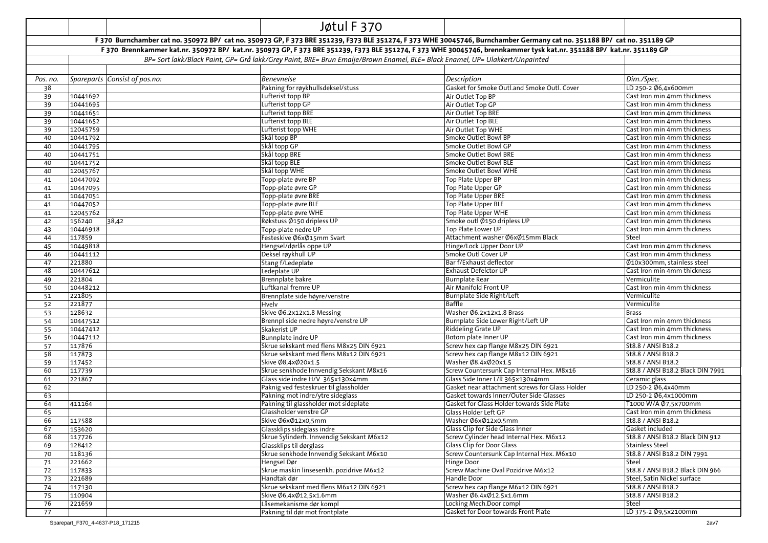|          |          |                               | Jøtul F 370                                                                                                                  |                                                                                                                                                                         |                                   |
|----------|----------|-------------------------------|------------------------------------------------------------------------------------------------------------------------------|-------------------------------------------------------------------------------------------------------------------------------------------------------------------------|-----------------------------------|
|          |          |                               |                                                                                                                              | F 370 Burnchamber cat no. 350972 BP/ cat no. 350973 GP, F 373 BRE 351239, F373 BLE 351274, F 373 WHE 30045746, Burnchamber Germany cat no. 351188 BP/ cat no. 351189 GP |                                   |
|          |          |                               |                                                                                                                              | F 370 Brennkammer kat.nr. 350972 BP/ kat.nr. 350973 GP, F 373 BRE 351239, F373 BLE 351274, F 373 WHE 30045746, brennkammer tysk kat.nr. 351188 BP/ kat.nr. 351189 GP    |                                   |
|          |          |                               | BP= Sort lakk/Black Paint, GP= Grå lakk/Grey Paint, BRE= Brun Emalje/Brown Enamel, BLE= Black Enamel, UP= Ulakkert/Unpainted |                                                                                                                                                                         |                                   |
|          |          |                               |                                                                                                                              |                                                                                                                                                                         |                                   |
| Pos. no. |          | Spareparts Consist of pos.no: | <b>Benevnelse</b>                                                                                                            | Description                                                                                                                                                             | Dim./Spec.                        |
| 38       |          |                               | Pakning for røykhullsdeksel/stuss                                                                                            | Gasket for Smoke Outl.and Smoke Outl. Cover                                                                                                                             | LD 250-2 Ø6,4x600mm               |
| 39       | 10441692 |                               | Lufterist topp BP                                                                                                            | Air Outlet Top BP                                                                                                                                                       | Cast Iron min 4mm thickness       |
| 39       | 10441695 |                               | Lufterist topp GP                                                                                                            | Air Outlet Top GP                                                                                                                                                       | Cast Iron min 4mm thickness       |
| 39       | 10441651 |                               | Lufterist topp BRE                                                                                                           | Air Outlet Top BRE                                                                                                                                                      | Cast Iron min 4mm thickness       |
| 39       | 10441652 |                               | Lufterist topp BLE                                                                                                           | Air Outlet Top BLE                                                                                                                                                      | Cast Iron min 4mm thickness       |
| 39       | 12045759 |                               | Lufterist topp WHE                                                                                                           | Air Outlet Top WHE                                                                                                                                                      | Cast Iron min 4mm thickness       |
| 40       | 10441792 |                               | Skål topp BP                                                                                                                 | Smoke Outlet Bowl BP                                                                                                                                                    | Cast Iron min 4mm thickness       |
| 40       | 10441795 |                               | Skål topp GP                                                                                                                 | Smoke Outlet Bowl GP                                                                                                                                                    | Cast Iron min 4mm thickness       |
| 40       | 10441751 |                               | Skål topp BRE                                                                                                                | Smoke Outlet Bowl BRE                                                                                                                                                   | Cast Iron min 4mm thickness       |
| 40       | 10441752 |                               | Skål topp BLE                                                                                                                | Smoke Outlet Bowl BLE                                                                                                                                                   | Cast Iron min 4mm thickness       |
| 40       | 12045767 |                               | Skål topp WHE                                                                                                                | Smoke Outlet Bowl WHE                                                                                                                                                   | Cast Iron min 4mm thickness       |
| 41       | 10447092 |                               | Topp-plate øvre BP                                                                                                           | Top Plate Upper BP                                                                                                                                                      | Cast Iron min 4mm thickness       |
| 41       | 10447095 |                               | Topp-plate øvre GP                                                                                                           | Top Plate Upper GP                                                                                                                                                      | Cast Iron min 4mm thickness       |
| 41       | 10447051 |                               | Topp-plate øvre BRE                                                                                                          | Top Plate Upper BRE                                                                                                                                                     | Cast Iron min 4mm thickness       |
| 41       | 10447052 |                               | Topp-plate øvre BLE                                                                                                          | Top Plate Upper BLE                                                                                                                                                     | Cast Iron min 4mm thickness       |
| 41       | 12045762 |                               | Topp-plate øvre WHE                                                                                                          | <b>Top Plate Upper WHE</b>                                                                                                                                              | Cast Iron min 4mm thickness       |
| 42       | 156240   | 38,42                         | Røkstuss Ø150 dripless UP                                                                                                    | Smoke outl Ø150 dripless UP                                                                                                                                             | Cast Iron min 4mm thickness       |
| 43       | 10446918 |                               | Topp-plate nedre UP                                                                                                          | Top Plate Lower UP                                                                                                                                                      | Cast Iron min 4mm thickness       |
| 44       | 117859   |                               | Festeskive Ø6xØ15mm Svart                                                                                                    | Attachment washer Ø6xØ15mm Black                                                                                                                                        | Steel                             |
| 45       | 10449818 |                               | Hengsel/dørlås oppe UP                                                                                                       | Hinge/Lock Upper Door UP                                                                                                                                                | Cast Iron min 4mm thickness       |
| 46       | 10441112 |                               | Deksel røykhull UP                                                                                                           | Smoke Outl Cover UP                                                                                                                                                     | Cast Iron min 4mm thickness       |
| 47       | 221880   |                               | Stang f/Ledeplate                                                                                                            | Bar f/Exhaust deflector                                                                                                                                                 | Ø10x300mm, stainless steel        |
| 48       | 10447612 |                               | Ledeplate UP                                                                                                                 | Exhaust Defelctor UP                                                                                                                                                    | Cast Iron min 4mm thickness       |
| 49       | 221804   |                               | Brennplate bakre                                                                                                             | <b>Burnplate Rear</b>                                                                                                                                                   | Vermiculite                       |
| 50       | 10448212 |                               | Luftkanal fremre UP                                                                                                          | Air Manifold Front UP                                                                                                                                                   | Cast Iron min 4mm thickness       |
| 51       | 221805   |                               | Brennplate side høyre/venstre                                                                                                | Burnplate Side Right/Left                                                                                                                                               | Vermiculite                       |
| 52       | 221877   |                               | Hvelv                                                                                                                        | Baffle                                                                                                                                                                  | Vermiculite                       |
| 53       | 128632   |                               | Skive Ø6.2x12x1.8 Messing                                                                                                    | Washer Ø6.2x12x1.8 Brass                                                                                                                                                | <b>Brass</b>                      |
| 54       | 10447512 |                               | Brennpl side nedre høyre/venstre UP                                                                                          | Burnplate Side Lower Right/Left UP                                                                                                                                      | Cast Iron min 4mm thickness       |
| 55       | 10447412 |                               | Skakerist UP                                                                                                                 | Riddeling Grate UP                                                                                                                                                      | Cast Iron min 4mm thickness       |
| 56       | 10447112 |                               | Bunnplate indre UP                                                                                                           | Botom plate Inner UP                                                                                                                                                    | Cast Iron min 4mm thickness       |
| 57       | 117876   |                               | Skrue sekskant med flens M8x25 DIN 6921                                                                                      | Screw hex cap flange M8x25 DIN 6921                                                                                                                                     | St8.8 / ANSI B18.2                |
| 58       | 117873   |                               | Skrue sekskant med flens M8x12 DIN 6921                                                                                      | Screw hex cap flange M8x12 DIN 6921                                                                                                                                     | St8.8 / ANSI B18.2                |
| 59       | 117452   |                               | Skive Ø8,4xØ20x1.5                                                                                                           | Washer Ø8.4xØ20x1.5                                                                                                                                                     | St8.8 / ANSI B18.2                |
| 60       | 117739   |                               | Skrue senkhode Innvendig Sekskant M8x16                                                                                      | Screw Countersunk Cap Internal Hex. M8x16                                                                                                                               | St8.8 / ANSI B18.2 Black DIN 7991 |
| 61       | 221867   |                               | Glass side indre H/V 365x130x4mm                                                                                             | Glass Side Inner L/R 365x130x4mm                                                                                                                                        | Ceramic glass                     |
| 62       |          |                               | Paknig ved festeskruer til glassholder                                                                                       | Gasket near attachment screws for Glass Holder                                                                                                                          | LD 250-2 Ø6,4x40mm                |
| 63       |          |                               | Pakning mot indre/ytre sideglass                                                                                             | Gasket towards Inner/Outer Side Glasses                                                                                                                                 | LD 250-2 Ø6,4x1000mm              |
| 64       | 411164   |                               | Pakning til glassholder mot sideplate                                                                                        | Gasket for Glass Holder towards Side Plate                                                                                                                              | T1000 W/A Ø7,5x700mm              |
| 65       |          |                               | Glassholder venstre GP                                                                                                       | Glass Holder Left GP                                                                                                                                                    | Cast Iron min 4mm thickness       |
| 66       | 117588   |                               | Skive Ø6xØ12x0,5mm                                                                                                           | Washer Ø6xØ12x0.5mm                                                                                                                                                     | St8.8 / ANSI B18.2                |
| 67       | 153620   |                               | Glassklips sideglass indre                                                                                                   | Glass Clip for Side Glass Inner                                                                                                                                         | Gasket included                   |
| 68       | 117726   |                               | Skrue Sylinderh. Innvendig Sekskant M6x12                                                                                    | Screw Cylinder head Internal Hex. M6x12                                                                                                                                 | St8.8 / ANSI B18.2 Black DIN 912  |
| 69       | 128412   |                               | Glassklips til dørglass                                                                                                      | Glass Clip for Door Glass                                                                                                                                               | <b>Stainless Steel</b>            |
| 70       | 118136   |                               | Skrue senkhode Innvendig Sekskant M6x10                                                                                      | Screw Countersunk Cap Internal Hex. M6x10                                                                                                                               | St8.8 / ANSI B18.2 DIN 7991       |
| 71       | 221662   |                               | Hengsel Dør                                                                                                                  | Hinge Door                                                                                                                                                              | Steel                             |
| 72       | 117833   |                               | Skrue maskin linsesenkh. pozidrive M6x12                                                                                     | Screw Machine Oval Pozidrive M6x12                                                                                                                                      | St8.8 / ANSI B18.2 Black DIN 966  |
| 73       | 221689   |                               | Handtak dør                                                                                                                  | Handle Door                                                                                                                                                             | Steel, Satin Nickel surface       |
| 74       | 117130   |                               | Skrue sekskant med flens M6x12 DIN 6921                                                                                      | Screw hex cap flange M6x12 DIN 6921                                                                                                                                     | St8.8 / ANSI B18.2                |
| 75       | 110904   |                               | Skive Ø6,4xØ12,5x1.6mm                                                                                                       | Washer Ø6.4xØ12.5x1.6mm                                                                                                                                                 | St8.8 / ANSI B18.2                |
| 76       | 221659   |                               | Låsemekanisme dør kompl                                                                                                      | Locking Mech.Door compl                                                                                                                                                 | Steel                             |
| 77       |          |                               | Pakning til dør mot frontplate                                                                                               | Gasket for Door towards Front Plate                                                                                                                                     | LD 375-2 Ø9,5x2100mm              |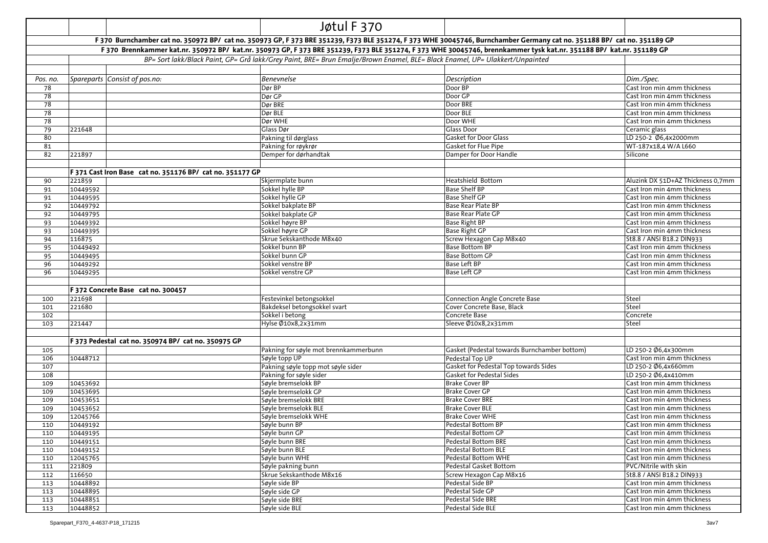|            |                      |                                                           | Jøtul F 370                                                                                                                                                             |                                                  |                                                            |
|------------|----------------------|-----------------------------------------------------------|-------------------------------------------------------------------------------------------------------------------------------------------------------------------------|--------------------------------------------------|------------------------------------------------------------|
|            |                      |                                                           | F 370 Burnchamber cat no. 350972 BP/ cat no. 350973 GP, F 373 BRE 351239, F373 BLE 351274, F 373 WHE 30045746, Burnchamber Germany cat no. 351188 BP/ cat no. 351189 GP |                                                  |                                                            |
|            |                      |                                                           | F 370 Brennkammer kat.nr. 350972 BP/ kat.nr. 350973 GP, F 373 BRE 351239, F373 BLE 351274, F 373 WHE 30045746, brennkammer tysk kat.nr. 351188 BP/ kat.nr. 351189 GP    |                                                  |                                                            |
|            |                      |                                                           | BP= Sort lakk/Black Paint, GP= Grå lakk/Grey Paint, BRE= Brun Emalje/Brown Enamel, BLE= Black Enamel, UP= Ulakkert/Unpainted                                            |                                                  |                                                            |
|            |                      |                                                           |                                                                                                                                                                         |                                                  |                                                            |
| Pos. no.   |                      | Spareparts Consist of pos.no:                             | <b>Benevnelse</b>                                                                                                                                                       | Description                                      | Dim./Spec.                                                 |
| 78         |                      |                                                           | Dør BP                                                                                                                                                                  | Door BP                                          | Cast Iron min 4mm thickness                                |
| 78         |                      |                                                           | Dør GP                                                                                                                                                                  | Door GP                                          | Cast Iron min 4mm thickness                                |
| 78         |                      |                                                           | Dør BRE                                                                                                                                                                 | Door BRE                                         | Cast Iron min 4mm thickness                                |
| 78         |                      |                                                           | Dør BLE                                                                                                                                                                 | Door BLE                                         | Cast Iron min 4mm thickness                                |
| 78         |                      |                                                           | Dør WHE                                                                                                                                                                 | Door WHE                                         | Cast Iron min 4mm thickness                                |
| 79         | 221648               |                                                           | Glass Dør                                                                                                                                                               | Glass Door                                       | Ceramic glass                                              |
| 80         |                      |                                                           | Pakning til dørglass                                                                                                                                                    | <b>Gasket for Door Glass</b>                     | LD 250-2 Ø6,4x2000mm                                       |
| 81         |                      |                                                           | Pakning for røykrør                                                                                                                                                     | Gasket for Flue Pipe                             | WT-187x18,4 W/A L660                                       |
| 82         | 221897               |                                                           | Demper for dørhandtak                                                                                                                                                   | Damper for Door Handle                           | Silicone                                                   |
|            |                      |                                                           |                                                                                                                                                                         |                                                  |                                                            |
|            |                      | F 371 Cast Iron Base cat no. 351176 BP/ cat no. 351177 GP |                                                                                                                                                                         |                                                  |                                                            |
| 90         | 221859               |                                                           | Skjermplate bunn                                                                                                                                                        | Heatshield Bottom                                | Aluzink DX 51D+AZ Thickness 0,7mm                          |
| 91         | 10449592             |                                                           | Sokkel hylle BP                                                                                                                                                         | <b>Base Shelf BP</b>                             | Cast Iron min 4mm thickness                                |
| 91         | 10449595             |                                                           | Sokkel hylle GP                                                                                                                                                         | Base Shelf GP                                    | Cast Iron min 4mm thickness                                |
| 92         | 10449792             |                                                           | Sokkel bakplate BP                                                                                                                                                      | Base Rear Plate BP                               | Cast Iron min 4mm thickness                                |
| 92         | 10449795             |                                                           | Sokkel bakplate GP                                                                                                                                                      | Base Rear Plate GP                               | Cast Iron min 4mm thickness                                |
| 93         | 10449392             |                                                           | Sokkel høyre BP                                                                                                                                                         | Base Right BP                                    | Cast Iron min 4mm thickness                                |
| 93         | 10449395             |                                                           | Sokkel høyre GP                                                                                                                                                         | <b>Base Right GP</b>                             | Cast Iron min 4mm thickness                                |
| 94         | 116875               |                                                           | Skrue Sekskanthode M8x40<br>Sokkel bunn BP                                                                                                                              | Screw Hexagon Cap M8x40<br><b>Base Bottom BP</b> | St8.8 / ANSI B18.2 DIN933                                  |
| 95         | 10449492<br>10449495 |                                                           | Sokkel bunn GP                                                                                                                                                          | <b>Base Bottom GP</b>                            | Cast Iron min 4mm thickness<br>Cast Iron min 4mm thickness |
| 95<br>96   | 10449292             |                                                           | Sokkel venstre BP                                                                                                                                                       | <b>Base Left BP</b>                              | Cast Iron min 4mm thickness                                |
| 96         | 10449295             |                                                           | Sokkel venstre GP                                                                                                                                                       | Base Left GP                                     | Cast Iron min 4mm thickness                                |
|            |                      |                                                           |                                                                                                                                                                         |                                                  |                                                            |
|            |                      | F 372 Concrete Base cat no. 300457                        |                                                                                                                                                                         |                                                  |                                                            |
| 100        | 221698               |                                                           | Festevinkel betongsokkel                                                                                                                                                | Connection Angle Concrete Base                   | Steel                                                      |
| 101        | 221680               |                                                           | Bakdeksel betongsokkel svart                                                                                                                                            | Cover Concrete Base, Black                       | Steel                                                      |
| 102        |                      |                                                           | Sokkel i betong                                                                                                                                                         | Concrete Base                                    | Concrete                                                   |
| 103        | 221447               |                                                           | Hylse Ø10x8,2x31mm                                                                                                                                                      | Sleeve Ø10x8,2x31mm                              | Steel                                                      |
|            |                      |                                                           |                                                                                                                                                                         |                                                  |                                                            |
|            |                      | F 373 Pedestal cat no. 350974 BP/ cat no. 350975 GP       |                                                                                                                                                                         |                                                  |                                                            |
| 105        |                      |                                                           | Pakning for søyle mot brennkammerbunn                                                                                                                                   | Gasket (Pedestal towards Burnchamber bottom)     | LD 250-2 Ø6,4x300mm                                        |
| 106        | 10448712             |                                                           | Søyle topp UP                                                                                                                                                           | Pedestal Top UP                                  | Cast Iron min 4mm thickness                                |
| 107        |                      |                                                           | Pakning søyle topp mot søyle sider                                                                                                                                      | Gasket for Pedestal Top towards Sides            | LD 250-2 Ø6,4x660mm                                        |
| 108        |                      |                                                           | Pakning for søyle sider                                                                                                                                                 | Gasket for Pedestal Sides                        | LD 250-2 Ø6,4x410mm                                        |
| 109        | 10453692             |                                                           | Søyle bremselokk BP                                                                                                                                                     | <b>Brake Cover BP</b>                            | Cast Iron min 4mm thickness                                |
| 109        | 10453695             |                                                           | Søyle bremselokk GP                                                                                                                                                     | <b>Brake Cover GP</b>                            | Cast Iron min 4mm thickness                                |
| 109        | 10453651             |                                                           | Søyle bremselokk BRE                                                                                                                                                    | <b>Brake Cover BRE</b>                           | Cast Iron min 4mm thickness                                |
| 109        | 10453652             |                                                           | Søyle bremselokk BLE                                                                                                                                                    | <b>Brake Cover BLE</b>                           | Cast Iron min 4mm thickness                                |
| 109        | 12045766             |                                                           | Søyle bremselokk WHE                                                                                                                                                    | <b>Brake Cover WHE</b>                           | Cast Iron min 4mm thickness                                |
| 110        | 10449192             |                                                           | Søyle bunn BP                                                                                                                                                           | <b>Pedestal Bottom BP</b>                        | Cast Iron min 4mm thickness                                |
| 110        | 10449195             |                                                           | Søyle bunn GP                                                                                                                                                           | Pedestal Bottom GP                               | Cast Iron min 4mm thickness                                |
| 110        | 10449151             |                                                           | Søyle bunn BRE                                                                                                                                                          | Pedestal Bottom BRE                              | Cast Iron min 4mm thickness                                |
| 110        | 10449152             |                                                           | Søyle bunn BLE                                                                                                                                                          | Pedestal Bottom BLE                              | Cast Iron min 4mm thickness                                |
| 110        | 12045765<br>221809   |                                                           | Søyle bunn WHE                                                                                                                                                          | Pedestal Bottom WHE<br>Pedestal Gasket Bottom    | Cast Iron min 4mm thickness<br>PVC/Nitrile with skin       |
| 111<br>112 | 116650               |                                                           | Søyle pakning bunn<br>Skrue Sekskanthode M8x16                                                                                                                          | Screw Hexagon Cap M8x16                          | St8.8 / ANSI B18.2 DIN933                                  |
| 113        | 10448892             |                                                           | Søyle side BP                                                                                                                                                           | Pedestal Side BP                                 | Cast Iron min 4mm thickness                                |
| 113        | 10448895             |                                                           | Søyle side GP                                                                                                                                                           | Pedestal Side GP                                 | Cast Iron min 4mm thickness                                |
| 113        | 10448851             |                                                           | Søyle side BRE                                                                                                                                                          | Pedestal Side BRE                                | Cast Iron min 4mm thickness                                |
| 113        | 10448852             |                                                           | Søyle side BLE                                                                                                                                                          | Pedestal Side BLE                                | Cast Iron min 4mm thickness                                |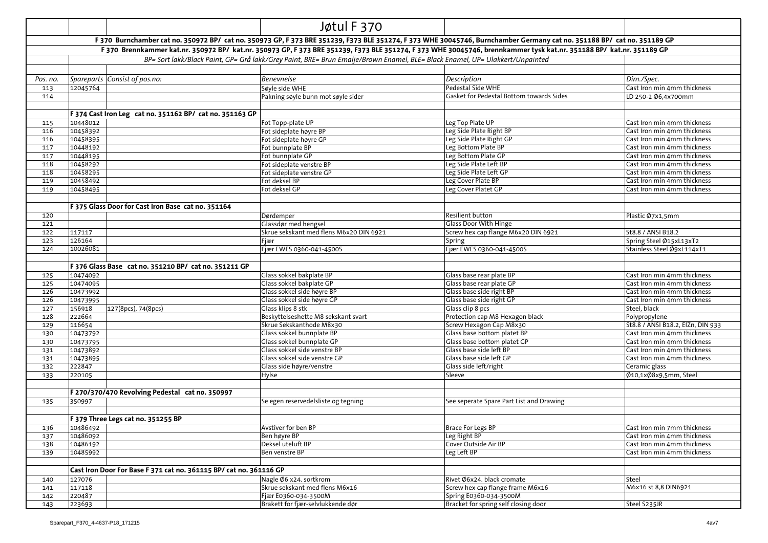|            |                      |                                                                    | Jøtul F 370                                                                                                                  |                                                                                                                                                                         |                                                            |
|------------|----------------------|--------------------------------------------------------------------|------------------------------------------------------------------------------------------------------------------------------|-------------------------------------------------------------------------------------------------------------------------------------------------------------------------|------------------------------------------------------------|
|            |                      |                                                                    |                                                                                                                              | F 370 Burnchamber cat no. 350972 BP/ cat no. 350973 GP, F 373 BRE 351239, F373 BLE 351274, F 373 WHE 30045746, Burnchamber Germany cat no. 351188 BP/ cat no. 351189 GP |                                                            |
|            |                      |                                                                    |                                                                                                                              | F 370 Brennkammer kat.nr. 350972 BP/ kat.nr. 350973 GP, F 373 BRE 351239, F373 BLE 351274, F 373 WHE 30045746, brennkammer tysk kat.nr. 351188 BP/ kat.nr. 351189 GP    |                                                            |
|            |                      |                                                                    | BP= Sort lakk/Black Paint, GP= Grå lakk/Grey Paint, BRE= Brun Emalje/Brown Enamel, BLE= Black Enamel, UP= Ulakkert/Unpainted |                                                                                                                                                                         |                                                            |
|            |                      |                                                                    |                                                                                                                              |                                                                                                                                                                         |                                                            |
| Pos. no.   |                      | Spareparts Consist of pos.no:                                      | <b>Benevnelse</b>                                                                                                            | Description                                                                                                                                                             | Dim./Spec.                                                 |
| 113        | 12045764             |                                                                    | Søyle side WHE                                                                                                               | Pedestal Side WHE                                                                                                                                                       | Cast Iron min 4mm thickness                                |
| 114        |                      |                                                                    | Pakning søyle bunn mot søyle sider                                                                                           | Gasket for Pedestal Bottom towards Sides                                                                                                                                | LD 250-2 Ø6,4x700mm                                        |
|            |                      |                                                                    |                                                                                                                              |                                                                                                                                                                         |                                                            |
|            |                      | F 374 Cast Iron Leg cat no. 351162 BP/ cat no. 351163 GP           |                                                                                                                              |                                                                                                                                                                         |                                                            |
| 115        | 10448012             |                                                                    | Fot Topp-plate UP                                                                                                            | Leg Top Plate UP                                                                                                                                                        | Cast Iron min 4mm thickness                                |
| 116        | 10458392             |                                                                    | Fot sideplate høyre BP                                                                                                       | Leg Side Plate Right BP                                                                                                                                                 | Cast Iron min 4mm thickness                                |
| 116        | 10458395             |                                                                    | Fot sideplate høyre GP                                                                                                       | Leg Side Plate Right GP                                                                                                                                                 | Cast Iron min 4mm thickness                                |
| 117        | 10448192             |                                                                    | Fot bunnplate BP                                                                                                             | Leg Bottom Plate BP                                                                                                                                                     | Cast Iron min 4mm thickness                                |
| 117        | 10448195             |                                                                    | Fot bunnplate GP                                                                                                             | Leg Bottom Plate GP                                                                                                                                                     | Cast Iron min 4mm thickness                                |
| 118        | 10458292             |                                                                    | Fot sideplate venstre BP                                                                                                     | Leg Side Plate Left BP                                                                                                                                                  | Cast Iron min 4mm thickness                                |
| 118        | 10458295             |                                                                    | Fot sideplate venstre GP                                                                                                     | Leg Side Plate Left GP                                                                                                                                                  | Cast Iron min 4mm thickness                                |
| 119        | 10458492             |                                                                    | Fot deksel BP                                                                                                                | Leg Cover Plate BP                                                                                                                                                      | Cast Iron min 4mm thickness                                |
| 119        | 10458495             |                                                                    | Fot deksel GP                                                                                                                | Leg Cover Platet GP                                                                                                                                                     | Cast Iron min 4mm thickness                                |
|            |                      |                                                                    |                                                                                                                              |                                                                                                                                                                         |                                                            |
|            |                      | F 375 Glass Door for Cast Iron Base cat no. 351164                 |                                                                                                                              |                                                                                                                                                                         |                                                            |
| 120        |                      |                                                                    | Dørdemper                                                                                                                    | Resilient button                                                                                                                                                        | Plastic Ø7x1,5mm                                           |
| 121        |                      |                                                                    | Glassdør med hengsel                                                                                                         | <b>Glass Door With Hinge</b>                                                                                                                                            |                                                            |
| 122        | 117117               |                                                                    | Skrue sekskant med flens M6x20 DIN 6921                                                                                      | Screw hex cap flange M6x20 DIN 6921                                                                                                                                     | St8.8 / ANSI B18.2                                         |
| 123        | 126164               |                                                                    | Fjær                                                                                                                         | Spring                                                                                                                                                                  | Spring Steel Ø15xL13xT2                                    |
| 124        | 10026081             |                                                                    | Fjær EWES 0360-041-4500S                                                                                                     | Fjær EWES 0360-041-4500S                                                                                                                                                | Stainless Steel Ø9xL114xT1                                 |
|            |                      |                                                                    |                                                                                                                              |                                                                                                                                                                         |                                                            |
|            |                      | F 376 Glass Base cat no. 351210 BP/ cat no. 351211 GP              |                                                                                                                              |                                                                                                                                                                         |                                                            |
| 125        | 10474092             |                                                                    | Glass sokkel bakplate BP                                                                                                     | Glass base rear plate BP                                                                                                                                                | Cast Iron min 4mm thickness                                |
| 125        | 10474095             |                                                                    | Glass sokkel bakplate GP                                                                                                     | Glass base rear plate GP<br>Glass base side right BP                                                                                                                    | Cast Iron min 4mm thickness                                |
| 126<br>126 | 10473992<br>10473995 |                                                                    | Glass sokkel side høyre BP<br>Glass sokkel side høyre GP                                                                     | Glass base side right GP                                                                                                                                                | Cast Iron min 4mm thickness<br>Cast Iron min 4mm thickness |
| 127        | 156918               | 127(8pcs), 74(8pcs)                                                | Glass klips 8 stk                                                                                                            | Glass clip 8 pcs                                                                                                                                                        | Steel, black                                               |
| 128        | 222664               |                                                                    | Beskyttelseshette M8 sekskant svart                                                                                          | Protection cap M8 Hexagon black                                                                                                                                         | Polypropylene                                              |
| 129        | 116654               |                                                                    | Skrue Sekskanthode M8x30                                                                                                     | Screw Hexagon Cap M8x30                                                                                                                                                 | St8.8 / ANSI B18.2, ElZn, DIN 933                          |
| 130        | 10473792             |                                                                    | Glass sokkel bunnplate BP                                                                                                    | Glass base bottom platet BP                                                                                                                                             | Cast Iron min 4mm thickness                                |
| 130        | 10473795             |                                                                    | Glass sokkel bunnplate GP                                                                                                    | Glass base bottom platet GP                                                                                                                                             | Cast Iron min 4mm thickness                                |
| 131        | 10473892             |                                                                    | Glass sokkel side venstre BP                                                                                                 | Glass base side left BP                                                                                                                                                 | Cast Iron min 4mm thickness                                |
| 131        | 10473895             |                                                                    | Glass sokkel side venstre GP                                                                                                 | Glass base side left GP                                                                                                                                                 | Cast Iron min 4mm thickness                                |
| 132        | 222847               |                                                                    | Glass side høyre/venstre                                                                                                     | Glass side left/right                                                                                                                                                   | Ceramic glass                                              |
| 133        | 220105               |                                                                    | Hylse                                                                                                                        | Sleeve                                                                                                                                                                  | Ø10,1xØ8x9,5mm, Steel                                      |
|            |                      |                                                                    |                                                                                                                              |                                                                                                                                                                         |                                                            |
|            |                      | F 270/370/470 Revolving Pedestal cat no. 350997                    |                                                                                                                              |                                                                                                                                                                         |                                                            |
| 135        | 350997               |                                                                    | Se egen reservedelsliste og tegning                                                                                          | See seperate Spare Part List and Drawing                                                                                                                                |                                                            |
|            |                      |                                                                    |                                                                                                                              |                                                                                                                                                                         |                                                            |
|            |                      | F 379 Three Legs cat no. 351255 BP                                 |                                                                                                                              |                                                                                                                                                                         |                                                            |
| 136        | 10486492             |                                                                    | Avstiver for ben BP                                                                                                          | Brace For Legs BP                                                                                                                                                       | Cast Iron min 7mm thickness                                |
| 137        | 10486092             |                                                                    | Ben høyre BP                                                                                                                 | Leg Right BP                                                                                                                                                            | Cast Iron min 4mm thickness                                |
| 138        | 10486192             |                                                                    | Deksel uteluft BP                                                                                                            | Cover Outside Air BP                                                                                                                                                    | Cast Iron min 4mm thickness                                |
| 139        | 10485992             |                                                                    | Ben venstre BP                                                                                                               | Leg Left BP                                                                                                                                                             | Cast Iron min 4mm thickness                                |
|            |                      |                                                                    |                                                                                                                              |                                                                                                                                                                         |                                                            |
|            |                      | Cast Iron Door For Base F 371 cat no. 361115 BP/ cat no. 361116 GP |                                                                                                                              |                                                                                                                                                                         |                                                            |
| 140        | 127076               |                                                                    | Nagle Ø6 x24. sortkrom                                                                                                       | Rivet Ø6x24. black cromate                                                                                                                                              | Steel                                                      |
| 141        | 117118               |                                                                    | Skrue sekskant med flens M6x16                                                                                               | Screw hex cap flange frame M6x16                                                                                                                                        | M6x16 st 8,8 DIN6921                                       |
| 142        | 220487               |                                                                    | Fjær E0360-034-3500M                                                                                                         | Spring E0360-034-3500M                                                                                                                                                  |                                                            |
| 143        | 223693               |                                                                    | Brakett for fjær-selvlukkende dør                                                                                            | Bracket for spring self closing door                                                                                                                                    | Steel S235JR                                               |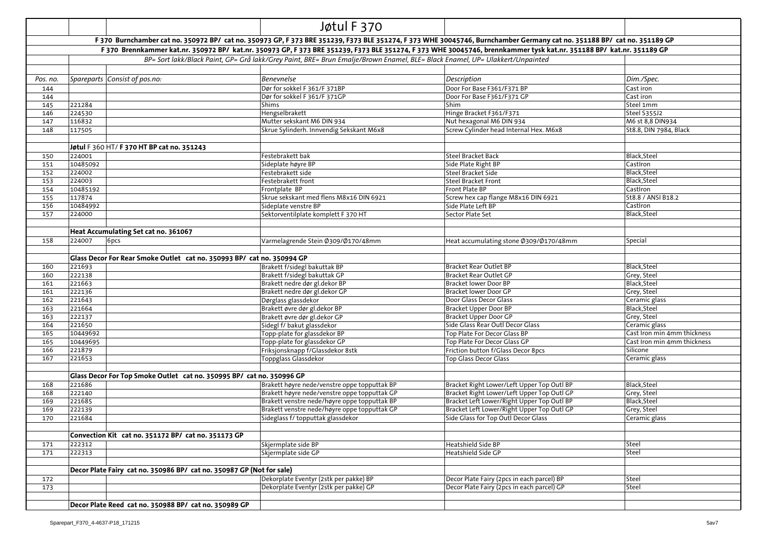|            |                    |                                                                        | Jøtul F 370                                                                                                                                                             |                                                                  |                                              |
|------------|--------------------|------------------------------------------------------------------------|-------------------------------------------------------------------------------------------------------------------------------------------------------------------------|------------------------------------------------------------------|----------------------------------------------|
|            |                    |                                                                        | F 370 Burnchamber cat no. 350972 BP/ cat no. 350973 GP, F 373 BRE 351239, F373 BLE 351274, F 373 WHE 30045746, Burnchamber Germany cat no. 351188 BP/ cat no. 351189 GP |                                                                  |                                              |
|            |                    |                                                                        | F 370 Brennkammer kat.nr. 350972 BP/ kat.nr. 350973 GP, F 373 BRE 351239, F373 BLE 351274, F 373 WHE 30045746, brennkammer tysk kat.nr. 351188 BP/ kat.nr. 351189 GP    |                                                                  |                                              |
|            |                    |                                                                        | BP= Sort lakk/Black Paint, GP= Grå lakk/Grey Paint, BRE= Brun Emalje/Brown Enamel, BLE= Black Enamel, UP= Ulakkert/Unpainted                                            |                                                                  |                                              |
|            |                    |                                                                        |                                                                                                                                                                         |                                                                  |                                              |
| Pos. no.   |                    | Spareparts Consist of pos.no:                                          | Benevnelse                                                                                                                                                              | Description                                                      | Dim./Spec.                                   |
| 144        |                    |                                                                        | Dør for sokkel F 361/F 371BP                                                                                                                                            | Door For Base F361/F371 BP                                       | Cast iron                                    |
| 144        |                    |                                                                        | Dør for sokkel F 361/F 371GP                                                                                                                                            | Door For Base F361/F371 GP                                       | Cast iron                                    |
| 145        | 221284             |                                                                        | Shims                                                                                                                                                                   | Shim                                                             | Steel 1mm                                    |
| 146        | 224530             |                                                                        | Hengselbrakett                                                                                                                                                          | Hinge Bracket F361/F371                                          | Steel S355J2                                 |
| 147        | 116832             |                                                                        | Mutter sekskant M6 DIN 934                                                                                                                                              | Nut hexagonal M6 DIN 934                                         | M6 st 8,8 DIN934                             |
| 148        | 117505             |                                                                        | Skrue Sylinderh. Innvendig Sekskant M6x8                                                                                                                                | Screw Cylinder head Internal Hex. M6x8                           | St8.8, DIN 7984, Black                       |
|            |                    |                                                                        |                                                                                                                                                                         |                                                                  |                                              |
|            |                    | Jøtul F 360 HT/F 370 HT BP cat no. 351243                              |                                                                                                                                                                         |                                                                  |                                              |
| 150        | 224001             |                                                                        | Festebrakett bak                                                                                                                                                        | <b>Steel Bracket Back</b>                                        | Black, Steel                                 |
| 151        | 10485092           |                                                                        | Sideplate høyre BP                                                                                                                                                      | Side Plate Right BP                                              | CastIron                                     |
| 152        | 224002             |                                                                        | Festebrakett side                                                                                                                                                       | Steel Bracket Side                                               | Black, Steel                                 |
| 153        | 224003             |                                                                        | Festebrakett front                                                                                                                                                      | <b>Steel Bracket Front</b>                                       | Black, Steel                                 |
| 154        | 10485192           |                                                                        | Frontplate BP                                                                                                                                                           | Front Plate BP                                                   | CastIron                                     |
| 155        | 117874             |                                                                        | Skrue sekskant med flens M8x16 DIN 6921                                                                                                                                 | Screw hex cap flange M8x16 DIN 6921                              | St8.8 / ANSI B18.2                           |
| 156        | 10484992           |                                                                        | Sideplate venstre BP                                                                                                                                                    | Side Plate Left BP                                               | CastIron                                     |
| 157        | 224000             |                                                                        | Sektorventilplate komplett F 370 HT                                                                                                                                     | Sector Plate Set                                                 | Black, Steel                                 |
|            |                    |                                                                        |                                                                                                                                                                         |                                                                  |                                              |
|            |                    | Heat Accumulating Set cat no. 361067                                   |                                                                                                                                                                         |                                                                  |                                              |
| 158        | 224007             | 6pcs                                                                   | Varmelagrende Stein Ø309/Ø170/48mm                                                                                                                                      | Heat accumulating stone Ø309/Ø170/48mm                           | Special                                      |
|            |                    |                                                                        |                                                                                                                                                                         |                                                                  |                                              |
|            |                    | Glass Decor For Rear Smoke Outlet cat no. 350993 BP/ cat no. 350994 GP |                                                                                                                                                                         |                                                                  |                                              |
| 160        | 221693             |                                                                        | Brakett f/sidegl bakuttak BP                                                                                                                                            | Bracket Rear Outlet BP                                           | Black, Steel                                 |
| 160        | 222138             |                                                                        | Brakett f/sidegl bakuttak GP                                                                                                                                            | Bracket Rear Outlet GP                                           | Grey, Steel                                  |
| 161        | 221663             |                                                                        | Brakett nedre dør gl.dekor BP                                                                                                                                           | Bracket lower Door BP                                            | Black, Steel                                 |
| 161        | 222136             |                                                                        | Brakett nedre dør gl.dekor GP                                                                                                                                           | Bracket lower Door GP                                            | Grey, Steel                                  |
| 162        | 221643             |                                                                        | Dørglass glassdekor                                                                                                                                                     | Door Glass Decor Glass                                           | Ceramic glass                                |
| 163        | 221664             |                                                                        | Brakett øvre dør gl.dekor BP                                                                                                                                            | Bracket Upper Door BP                                            | Black, Steel                                 |
| 163        | 222137             |                                                                        | Brakett øvre dør gl.dekor GP                                                                                                                                            | Bracket Upper Door GP                                            | Grey, Steel                                  |
| 164<br>165 | 221650<br>10449692 |                                                                        | Sidegl f/ bakut glassdekor                                                                                                                                              | Side Glass Rear Outl Decor Glass<br>Top Plate For Decor Glass BP | Ceramic glass<br>Cast Iron min 4mm thickness |
| 165        | 10449695           |                                                                        | Topp-plate for glassdekor BP                                                                                                                                            | Top Plate For Decor Glass GP                                     | Cast Iron min 4mm thickness                  |
| 166        | 221879             |                                                                        | Topp-plate for glassdekor GP<br>Friksjonsknapp f/Glassdekor 8stk                                                                                                        | Friction button f/Glass Decor 8pcs                               | Silicone                                     |
| 167        | 221653             |                                                                        | Toppglass Glassdekor                                                                                                                                                    | <b>Top Glass Decor Glass</b>                                     | Ceramic glass                                |
|            |                    |                                                                        |                                                                                                                                                                         |                                                                  |                                              |
|            |                    | Glass Decor For Top Smoke Outlet cat no. 350995 BP/ cat no. 350996 GP  |                                                                                                                                                                         |                                                                  |                                              |
| 168        | 221686             |                                                                        | Brakett høyre nede/venstre oppe topputtak BP                                                                                                                            | Bracket Right Lower/Left Upper Top Outl BP                       | Black, Steel                                 |
| 168        | 222140             |                                                                        | Brakett høyre nede/venstre oppe topputtak GP                                                                                                                            | Bracket Right Lower/Left Upper Top Outl GP                       | Grey, Steel                                  |
| 169        | 221685             |                                                                        | Brakett venstre nede/høyre oppe topputtak BP                                                                                                                            | Bracket Left Lower/Right Upper Top Outl BP                       | Black, Steel                                 |
| 169        | 222139             |                                                                        | Brakett venstre nede/høyre oppe topputtak GP                                                                                                                            | Bracket Left Lower/Right Upper Top Outl GP                       | Grey, Steel                                  |
| 170        | 221684             |                                                                        | Sideglass f/ topputtak glassdekor                                                                                                                                       | Side Glass for Top Outl Decor Glass                              | Ceramic glass                                |
|            |                    |                                                                        |                                                                                                                                                                         |                                                                  |                                              |
|            |                    | Convection Kit cat no. 351172 BP/ cat no. 351173 GP                    |                                                                                                                                                                         |                                                                  |                                              |
| 171        | 222312             |                                                                        | Skjermplate side BP                                                                                                                                                     | Heatshield Side BP                                               | Steel                                        |
| 171        | 222313             |                                                                        | Skjermplate side GP                                                                                                                                                     | Heatshield Side GP                                               | Steel                                        |
|            |                    |                                                                        |                                                                                                                                                                         |                                                                  |                                              |
|            |                    | Decor Plate Fairy cat no. 350986 BP/ cat no. 350987 GP (Not for sale)  |                                                                                                                                                                         |                                                                  |                                              |
| 172        |                    |                                                                        | Dekorplate Eventyr (2stk per pakke) BP                                                                                                                                  | Decor Plate Fairy (2pcs in each parcel) BP                       | Steel                                        |
| 173        |                    |                                                                        | Dekorplate Eventyr (2stk per pakke) GP                                                                                                                                  | Decor Plate Fairy (2pcs in each parcel) GP                       | Steel                                        |
|            |                    |                                                                        |                                                                                                                                                                         |                                                                  |                                              |
|            |                    | Decor Plate Reed cat no. 350988 BP/ cat no. 350989 GP                  |                                                                                                                                                                         |                                                                  |                                              |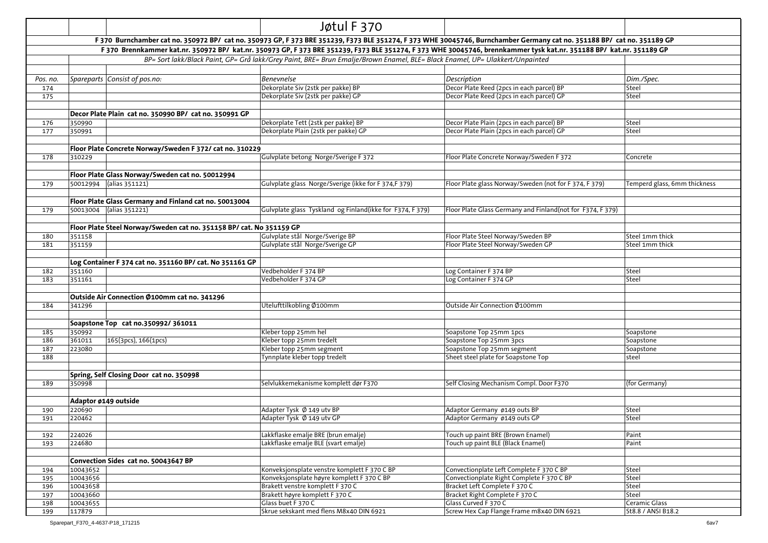|            |                                                                      | Jøtul F 370                                                                                                                  |                                                                                                                                                                         |                                     |
|------------|----------------------------------------------------------------------|------------------------------------------------------------------------------------------------------------------------------|-------------------------------------------------------------------------------------------------------------------------------------------------------------------------|-------------------------------------|
|            |                                                                      |                                                                                                                              | F 370 Burnchamber cat no. 350972 BP/ cat no. 350973 GP, F 373 BRE 351239, F373 BLE 351274, F 373 WHE 30045746, Burnchamber Germany cat no. 351188 BP/ cat no. 351189 GP |                                     |
|            |                                                                      |                                                                                                                              | F 370 Brennkammer kat.nr. 350972 BP/ kat.nr. 350973 GP, F 373 BRE 351239, F373 BLE 351274, F 373 WHE 30045746, brennkammer tysk kat.nr. 351188 BP/ kat.nr. 351189 GP    |                                     |
|            |                                                                      | BP= Sort lakk/Black Paint, GP= Grå lakk/Grey Paint, BRE= Brun Emalje/Brown Enamel, BLE= Black Enamel, UP= Ulakkert/Unpainted |                                                                                                                                                                         |                                     |
|            |                                                                      |                                                                                                                              |                                                                                                                                                                         |                                     |
| Pos. no.   | Spareparts Consist of pos.no:                                        | <b>Benevnelse</b>                                                                                                            | Description                                                                                                                                                             | Dim./Spec.                          |
| 174        |                                                                      | Dekorplate Siv (2stk per pakke) BP                                                                                           | Decor Plate Reed (2pcs in each parcel) BP                                                                                                                               | Steel                               |
| 175        |                                                                      | Dekorplate Siv (2stk per pakke) GP                                                                                           | Decor Plate Reed (2pcs in each parcel) GP                                                                                                                               | Steel                               |
|            |                                                                      |                                                                                                                              |                                                                                                                                                                         |                                     |
|            | Decor Plate Plain cat no. 350990 BP/ cat no. 350991 GP               |                                                                                                                              |                                                                                                                                                                         |                                     |
| 176        | 350990                                                               | Dekorplate Tett (2stk per pakke) BP                                                                                          | Decor Plate Plain (2pcs in each parcel) BP                                                                                                                              | Steel                               |
| 177        | 350991                                                               | Dekorplate Plain (2stk per pakke) GP                                                                                         | Decor Plate Plain (2pcs in each parcel) GP                                                                                                                              | Steel                               |
|            |                                                                      |                                                                                                                              |                                                                                                                                                                         |                                     |
| 178        | Floor Plate Concrete Norway/Sweden F 372/ cat no. 310229<br>310229   | Gulvplate betong Norge/Sverige F 372                                                                                         | Floor Plate Concrete Norway/Sweden F 372                                                                                                                                |                                     |
|            |                                                                      |                                                                                                                              |                                                                                                                                                                         | Concrete                            |
|            | Floor Plate Glass Norway/Sweden cat no. 50012994                     |                                                                                                                              |                                                                                                                                                                         |                                     |
| 179        | 50012994 (alias 351121)                                              | Gulvplate glass Norge/Sverige (ikke for F 374,F 379)                                                                         | Floor Plate glass Norway/Sweden (not for F 374, F 379)                                                                                                                  | Temperd glass, 6mm thickness        |
|            |                                                                      |                                                                                                                              |                                                                                                                                                                         |                                     |
|            | Floor Plate Glass Germany and Finland cat no. 50013004               |                                                                                                                              |                                                                                                                                                                         |                                     |
| 179        | 50013004 (alias 351221)                                              | Gulvplate glass Tyskland og Finland(ikke for F374, F379)                                                                     | Floor Plate Glass Germany and Finland (not for F374, F379)                                                                                                              |                                     |
|            |                                                                      |                                                                                                                              |                                                                                                                                                                         |                                     |
|            | Floor Plate Steel Norway/Sweden cat no. 351158 BP/ cat. No 351159 GP |                                                                                                                              |                                                                                                                                                                         |                                     |
| 180        | 351158                                                               | Gulvplate stål Norge/Sverige BP                                                                                              | Floor Plate Steel Norway/Sweden BP                                                                                                                                      | Steel 1mm thick                     |
| 181        | 351159                                                               | Gulvplate stål Norge/Sverige GP                                                                                              | Floor Plate Steel Norway/Sweden GP                                                                                                                                      | Steel 1mm thick                     |
|            |                                                                      |                                                                                                                              |                                                                                                                                                                         |                                     |
|            | Log Container F 374 cat no. 351160 BP/ cat. No 351161 GP             |                                                                                                                              |                                                                                                                                                                         |                                     |
| 182        | 351160                                                               | Vedbeholder F 374 BP                                                                                                         | Log Container F 374 BP                                                                                                                                                  | Steel                               |
| 183        | 351161                                                               | Vedbeholder F 374 GP                                                                                                         | Log Container F 374 GP                                                                                                                                                  | Steel                               |
|            | Outside Air Connection Ø100mm cat no. 341296                         |                                                                                                                              |                                                                                                                                                                         |                                     |
| 184        | 341296                                                               | Utelufttilkobling Ø100mm                                                                                                     | Outside Air Connection Ø100mm                                                                                                                                           |                                     |
|            |                                                                      |                                                                                                                              |                                                                                                                                                                         |                                     |
|            | Soapstone Top cat no.350992/361011                                   |                                                                                                                              |                                                                                                                                                                         |                                     |
| 185        | 350992                                                               | Kleber topp 25mm hel                                                                                                         | Soapstone Top 25mm 1pcs                                                                                                                                                 | Soapstone                           |
| 186        | 361011<br>165(3pcs), 166(1pcs)                                       | Kleber topp 25mm tredelt                                                                                                     | Soapstone Top 25mm 3pcs                                                                                                                                                 | Soapstone                           |
| 187        | 223080                                                               | Kleber topp 25mm segment                                                                                                     | Soapstone Top 25mm segment                                                                                                                                              | Soapstone                           |
| 188        |                                                                      | Tynnplate kleber topp tredelt                                                                                                | Sheet steel plate for Soapstone Top                                                                                                                                     | steel                               |
|            |                                                                      |                                                                                                                              |                                                                                                                                                                         |                                     |
|            | Spring, Self Closing Door cat no. 350998                             |                                                                                                                              |                                                                                                                                                                         |                                     |
| 189        | 350998                                                               | Selvlukkemekanisme komplett dør F370                                                                                         | Self Closing Mechanism Compl. Door F370                                                                                                                                 | (for Germany)                       |
|            |                                                                      |                                                                                                                              |                                                                                                                                                                         |                                     |
|            | Adaptor ø149 outside                                                 | Adapter Tysk Ø 149 utv BP                                                                                                    |                                                                                                                                                                         |                                     |
| 190<br>191 | 220690<br>220462                                                     | Adapter Tysk Ø 149 utv GP                                                                                                    | Adaptor Germany ø149 outs BP<br>Adaptor Germany ø149 outs GP                                                                                                            | Steel<br>Steel                      |
|            |                                                                      |                                                                                                                              |                                                                                                                                                                         |                                     |
| 192        | 224026                                                               | Lakkflaske emalje BRE (brun emalje)                                                                                          | Touch up paint BRE (Brown Enamel)                                                                                                                                       | Paint                               |
| 193        | 224680                                                               | Lakkflaske emalje BLE (svart emalje)                                                                                         | Touch up paint BLE (Black Enamel)                                                                                                                                       | Paint                               |
|            |                                                                      |                                                                                                                              |                                                                                                                                                                         |                                     |
|            | Convection Sides cat no. 50043647 BP                                 |                                                                                                                              |                                                                                                                                                                         |                                     |
| 194        | 10043652                                                             | Konveksjonsplate venstre komplett F 370 C BP                                                                                 | Convectionplate Left Complete F 370 C BP                                                                                                                                | Steel                               |
| 195        | 10043656                                                             | Konveksjonsplate høyre komplett F 370 C BP                                                                                   | Convectionplate Right Complete F 370 C BP                                                                                                                               | Steel                               |
| 196        | 10043658                                                             | Brakett venstre komplett F 370 C                                                                                             | Bracket Left Complete F 370 C                                                                                                                                           | Steel                               |
| 197        | 10043660                                                             | Brakett høyre komplett F 370 C                                                                                               | Bracket Right Complete F 370 C                                                                                                                                          | Steel                               |
| 198        | 10043655<br>117879                                                   | Glass buet F 370 C<br>Skrue sekskant med flens M8x40 DIN 6921                                                                | Glass Curved F 370 C<br>Screw Hex Cap Flange Frame m8x40 DIN 6921                                                                                                       | Ceramic Glass<br>St8.8 / ANSI B18.2 |
| 199        |                                                                      |                                                                                                                              |                                                                                                                                                                         |                                     |